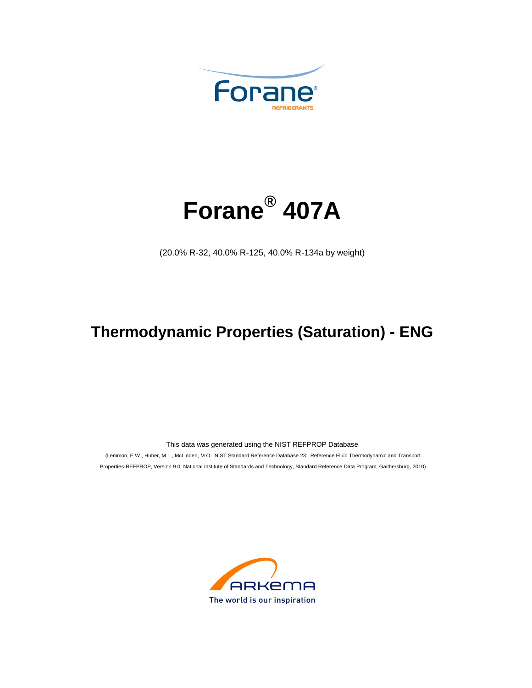



(20.0% R-32, 40.0% R-125, 40.0% R-134a by weight)

## **Thermodynamic Properties (Saturation) - ENG**

This data was generated using the NIST REFPROP Database

 (Lemmon, E.W., Huber, M.L., McLinden, M.O. NIST Standard Reference Database 23: Reference Fluid Thermodynamic and Transport Properties-REFPROP, Version 9.0, National Institute of Standards and Technology, Standard Reference Data Program, Gaithersburg, 2010)

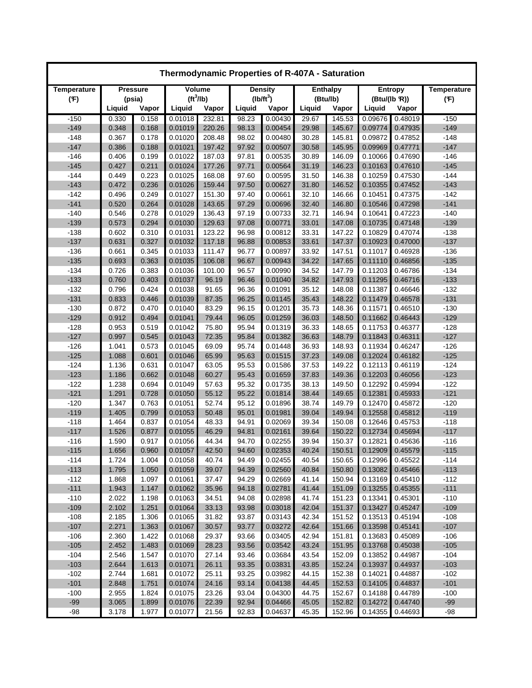| Thermodynamic Properties of R-407A - Saturation |                |                 |                       |                  |                |                    |                |                  |                    |                    |                    |  |
|-------------------------------------------------|----------------|-----------------|-----------------------|------------------|----------------|--------------------|----------------|------------------|--------------------|--------------------|--------------------|--|
| Temperature                                     |                | <b>Pressure</b> |                       | <b>Volume</b>    |                | <b>Density</b>     |                | <b>Enthalpy</b>  |                    | Entropy            | <b>Temperature</b> |  |
| (F)                                             |                | (psia)          | (tf <sup>3</sup> /lb) |                  |                | $(lb/ft^3)$        |                | (Btu/lb)         | (Btu/(lb R))       |                    | (F)                |  |
|                                                 | Liquid         | Vapor           | Liquid                | Vapor            | Liquid         | Vapor              | Liquid         | Vapor            | Liquid             | Vapor              |                    |  |
| $-150$                                          | 0.330          | 0.158           | 0.01018               | 232.81           | 98.23          | 0.00430            | 29.67          | 145.53           | 0.09676            | 0.48019            | $-150$             |  |
| $-149$                                          | 0.348          | 0.168           | 0.01019               | 220.26           | 98.13          | 0.00454            | 29.98          | 145.67           | 0.09774            | 0.47935            | $-149$             |  |
| $-148$                                          | 0.367          | 0.178           | 0.01020               | 208.48           | 98.02          | 0.00480            | 30.28          | 145.81           | 0.09872            | 0.47852            | $-148$             |  |
| $-147$                                          | 0.386          | 0.188           | 0.01021               | 197.42           | 97.92          | 0.00507            | 30.58          | 145.95           | 0.09969            | 0.47771            | $-147$             |  |
| $-146$                                          | 0.406          | 0.199           | 0.01022               | 187.03           | 97.81          | 0.00535            | 30.89          | 146.09           | 0.10066            | 0.47690            | $-146$             |  |
| $-145$                                          | 0.427          | 0.211           | 0.01024               | 177.26           | 97.71          | 0.00564            | 31.19          | 146.23           | 0.10163            | 0.47610            | $-145$             |  |
| $-144$                                          | 0.449          | 0.223           | 0.01025               | 168.08           | 97.60          | 0.00595            | 31.50          | 146.38           | 0.10259            | 0.47530            | $-144$             |  |
| $-143$                                          | 0.472          | 0.236           | 0.01026               | 159.44           | 97.50          | 0.00627            | 31.80          | 146.52           | 0.10355            | 0.47452            | $-143$             |  |
| $-142$<br>$-141$                                | 0.496<br>0.520 | 0.249<br>0.264  | 0.01027<br>0.01028    | 151.30<br>143.65 | 97.40<br>97.29 | 0.00661<br>0.00696 | 32.10<br>32.40 | 146.66<br>146.80 | 0.10451<br>0.10546 | 0.47375<br>0.47298 | $-142$<br>$-141$   |  |
| $-140$                                          | 0.546          | 0.278           | 0.01029               | 136.43           | 97.19          | 0.00733            | 32.71          | 146.94           | 0.10641            | 0.47223            | $-140$             |  |
| $-139$                                          | 0.573          | 0.294           | 0.01030               | 129.63           | 97.08          | 0.00771            | 33.01          | 147.08           | 0.10735            | 0.47148            | $-139$             |  |
| $-138$                                          | 0.602          | 0.310           | 0.01031               | 123.22           | 96.98          | 0.00812            | 33.31          | 147.22           | 0.10829            | 0.47074            | $-138$             |  |
| $-137$                                          | 0.631          | 0.327           | 0.01032               | 117.18           | 96.88          | 0.00853            | 33.61          | 147.37           | 0.10923            | 0.47000            | $-137$             |  |
| $-136$                                          | 0.661          | 0.345           | 0.01033               | 111.47           | 96.77          | 0.00897            | 33.92          | 147.51           | 0.11017            | 0.46928            | $-136$             |  |
| $-135$                                          | 0.693          | 0.363           | 0.01035               | 106.08           | 96.67          | 0.00943            | 34.22          | 147.65           | 0.11110            | 0.46856            | $-135$             |  |
| $-134$                                          | 0.726          | 0.383           | 0.01036               | 101.00           | 96.57          | 0.00990            | 34.52          | 147.79           | 0.11203            | 0.46786            | $-134$             |  |
| $-133$                                          | 0.760          | 0.403           | 0.01037               | 96.19            | 96.46          | 0.01040            | 34.82          | 147.93           | 0.11295            | 0.46716            | $-133$             |  |
| $-132$                                          | 0.796          | 0.424           | 0.01038               | 91.65            | 96.36          | 0.01091            | 35.12          | 148.08           | 0.11387            | 0.46646            | $-132$             |  |
| $-131$                                          | 0.833          | 0.446           | 0.01039               | 87.35            | 96.25          | 0.01145            | 35.43          | 148.22           | 0.11479            | 0.46578            | $-131$             |  |
| $-130$                                          | 0.872          | 0.470           | 0.01040               | 83.29            | 96.15          | 0.01201            | 35.73          | 148.36           | 0.11571            | 0.46510            | $-130$             |  |
| $-129$                                          | 0.912          | 0.494           | 0.01041               | 79.44            | 96.05          | 0.01259            | 36.03          | 148.50           | 0.11662            | 0.46443            | $-129$             |  |
| $-128$                                          | 0.953          | 0.519           | 0.01042               | 75.80            | 95.94          | 0.01319            | 36.33          | 148.65           | 0.11753            | 0.46377            | $-128$             |  |
| $-127$                                          | 0.997          | 0.545           | 0.01043               | 72.35            | 95.84          | 0.01382            | 36.63          | 148.79           | 0.11843            | 0.46311            | $-127$             |  |
| $-126$                                          | 1.041          | 0.573           | 0.01045               | 69.09            | 95.74          | 0.01448            | 36.93          | 148.93           | 0.11934            | 0.46247            | $-126$             |  |
| $-125$                                          | 1.088          | 0.601           | 0.01046               | 65.99            | 95.63          | 0.01515            | 37.23          | 149.08           | 0.12024            | 0.46182            | $-125$             |  |
| $-124$                                          | 1.136          | 0.631           | 0.01047               | 63.05            | 95.53          | 0.01586            | 37.53          | 149.22           | 0.12113            | 0.46119            | $-124$             |  |
| $-123$                                          | 1.186          | 0.662           | 0.01048               | 60.27            | 95.43          | 0.01659            | 37.83          | 149.36           | 0.12203            | 0.46056            | $-123$             |  |
| $-122$                                          | 1.238          | 0.694           | 0.01049               | 57.63            | 95.32          | 0.01735            | 38.13          | 149.50           | 0.12292            | 0.45994            | $-122$             |  |
| $-121$                                          | 1.291          | 0.728           | 0.01050               | 55.12            | 95.22          | 0.01814            | 38.44          | 149.65           | 0.12381            | 0.45933            | $-121$             |  |
| $-120$                                          | 1.347          | 0.763           | 0.01051               | 52.74            | 95.12          | 0.01896            | 38.74          | 149.79           | 0.12470            | 0.45872            | $-120$             |  |
| $-119$                                          | 1.405          | 0.799           | 0.01053               | 50.48            | 95.01          | 0.01981            | 39.04          | 149.94           | 0.12558            | 0.45812            | $-119$             |  |
| $-118$                                          | 1.464          | 0.837           | 0.01054               | 48.33            | 94.91          | 0.02069            | 39.34          | 150.08           | 0.12646            | 0.45753            | $-118$             |  |
| $-117$                                          | 1.526          | 0.877           | 0.01055               | 46.29            | 94.81          | 0.02161            | 39.64          | 150.22           | 0.12734            | 0.45694            | $-117$             |  |
| $-116$                                          | 1.590          | 0.917           | 0.01056               | 44.34            | 94.70          | 0.02255            | 39.94          | 150.37           | 0.12821            | 0.45636            | $-116$             |  |
| $-115$                                          | 1.656          | 0.960           | 0.01057               | 42.50            | 94.60          | 0.02353            | 40.24          | 150.51           | 0.12909            | 0.45579            | $-115$             |  |
| $-114$                                          | 1.724          | 1.004           | 0.01058               | 40.74            | 94.49          | 0.02455            | 40.54          | 150.65           | 0.12996            | 0.45522            | $-114$             |  |
| $-113$                                          | 1.795          | 1.050           | 0.01059               | 39.07            | 94.39          | 0.02560            | 40.84          | 150.80           | 0.13082            | 0.45466            | $-113$             |  |
| $-112$                                          | 1.868          | 1.097           | 0.01061               | 37.47            | 94.29          | 0.02669            | 41.14          | 150.94           | 0.13169            | 0.45410            | $-112$             |  |
| $-111$                                          | 1.943          | 1.147           | 0.01062               | 35.96            | 94.18          | 0.02781            | 41.44          | 151.09           | 0.13255            | 0.45355            | $-111$             |  |
| $-110$                                          | 2.022          | 1.198           | 0.01063               | 34.51            | 94.08          | 0.02898            | 41.74          | 151.23           | 0.13341            | 0.45301            | $-110$             |  |
| $-109$                                          | 2.102          | 1.251           | 0.01064               | 33.13            | 93.98          | 0.03018            | 42.04          | 151.37           | 0.13427            | 0.45247            | $-109$             |  |
| $-108$                                          | 2.185          | 1.306           | 0.01065               | 31.82            | 93.87          | 0.03143            | 42.34          | 151.52           | 0.13513            | 0.45194            | $-108$             |  |
| $-107$                                          | 2.271          | 1.363           | 0.01067               | 30.57            | 93.77          | 0.03272            | 42.64          | 151.66           | 0.13598            | 0.45141            | $-107$             |  |
| $-106$                                          | 2.360          | 1.422           | 0.01068               | 29.37            | 93.66          | 0.03405            | 42.94          | 151.81           | 0.13683            | 0.45089            | $-106$             |  |
| $-105$                                          | 2.452          | 1.483           | 0.01069               | 28.23            | 93.56          | 0.03542            | 43.24          | 151.95           | 0.13768            | 0.45038            | $-105$             |  |
| $-104$                                          | 2.546          | 1.547           | 0.01070               | 27.14            | 93.46          | 0.03684            | 43.54          | 152.09           | 0.13852            | 0.44987            | $-104$             |  |
| $-103$                                          | 2.644          | 1.613           | 0.01071               | 26.11            | 93.35          | 0.03831            | 43.85          | 152.24           | 0.13937            | 0.44937            | $-103$             |  |
| $-102$                                          | 2.744          | 1.681           | 0.01072               | 25.11            | 93.25          | 0.03982            | 44.15          | 152.38           | 0.14021            | 0.44887            | $-102$             |  |
| $-101$                                          | 2.848          | 1.751           | 0.01074               | 24.16            | 93.14          | 0.04138            | 44.45          | 152.53           | 0.14105            | 0.44837            | $-101$             |  |
| $-100$                                          | 2.955          | 1.824           | 0.01075               | 23.26            | 93.04          | 0.04300            | 44.75          | 152.67           | 0.14188            | 0.44789            | $-100$             |  |
| $-99$                                           | 3.065          | 1.899           | 0.01076               | 22.39            | 92.94          | 0.04466            | 45.05          | 152.82           | 0.14272            | 0.44740            | $-99$              |  |
| $-98$                                           | 3.178          | 1.977           | 0.01077               | 21.56            | 92.83          | 0.04637            | 45.35          | 152.96           | 0.14355            | 0.44693            | $-98$              |  |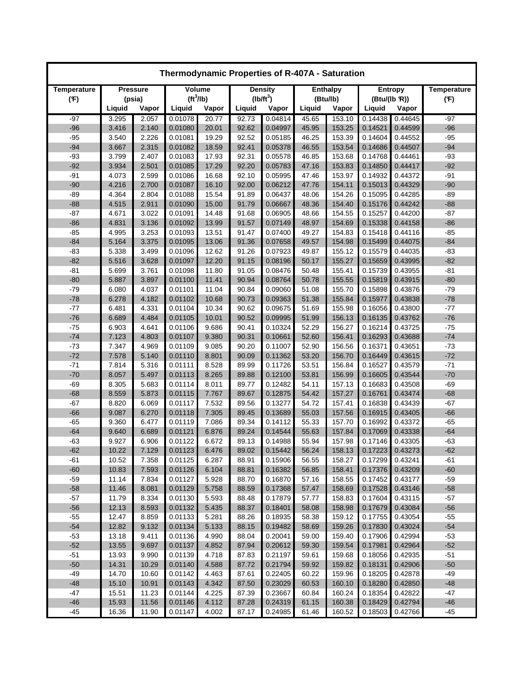| Thermodynamic Properties of R-407A - Saturation |                |                 |                       |                |                |                    |                |                  |                    |                    |                    |  |
|-------------------------------------------------|----------------|-----------------|-----------------------|----------------|----------------|--------------------|----------------|------------------|--------------------|--------------------|--------------------|--|
| Temperature                                     |                | <b>Pressure</b> | Volume                |                |                | <b>Density</b>     |                | <b>Enthalpy</b>  |                    | <b>Entropy</b>     | <b>Temperature</b> |  |
| (F)                                             |                | (psia)          | (tf <sup>3</sup> /lb) |                |                | $(lb/ft^3)$        |                | (Btu/lb)         |                    | (Btu/(lb R))       | (F)                |  |
|                                                 | Liquid         | Vapor           | Liquid                | Vapor          | Liquid         | Vapor              | Liquid         | Vapor            | Liquid             | Vapor              |                    |  |
| $-97$                                           | 3.295          | 2.057           | 0.01078               | 20.77          | 92.73          | 0.04814            | 45.65          | 153.10           | 0.14438            | 0.44645            | -97                |  |
| $-96$                                           | 3.416          | 2.140           | 0.01080               | 20.01          | 92.62          | 0.04997            | 45.95          | 153.25           | 0.14521            | 0.44599            | $-96$              |  |
| $-95$                                           | 3.540          | 2.226           | 0.01081               | 19.29          | 92.52          | 0.05185            | 46.25          | 153.39           | 0.14604            | 0.44552            | $-95$              |  |
| $-94$                                           | 3.667          | 2.315           | 0.01082               | 18.59          | 92.41          | 0.05378            | 46.55          | 153.54           | 0.14686            | 0.44507            | $-94$              |  |
| $-93$                                           | 3.799          | 2.407           | 0.01083               | 17.93          | 92.31          | 0.05578            | 46.85          | 153.68           | 0.14768            | 0.44461            | -93                |  |
| $-92$                                           | 3.934          | 2.501           | 0.01085               | 17.29          | 92.20          | 0.05783            | 47.16          | 153.83           | 0.14850            | 0.44417            | $-92$              |  |
| $-91$                                           | 4.073          | 2.599           | 0.01086               | 16.68          | 92.10          | 0.05995            | 47.46          | 153.97           | 0.14932            | 0.44372            | $-91$              |  |
| $-90$                                           | 4.216          | 2.700           | 0.01087               | 16.10          | 92.00          | 0.06212            | 47.76          | 154.11           | 0.15013            | 0.44329            | $-90$              |  |
| $-89$                                           | 4.364          | 2.804           | 0.01088               | 15.54          | 91.89          | 0.06437            | 48.06          | 154.26           | 0.15095            | 0.44285            | -89                |  |
| $-88$                                           | 4.515          | 2.911           | 0.01090               | 15.00          | 91.79          | 0.06667            | 48.36          | 154.40           | 0.15176            | 0.44242            | $-88$              |  |
| $-87$                                           | 4.671          | 3.022           | 0.01091               | 14.48          | 91.68          | 0.06905            | 48.66          | 154.55           | 0.15257            | 0.44200            | $-87$              |  |
| $-86$                                           | 4.831          | 3.136           | 0.01092               | 13.99          | 91.57          | 0.07149            | 48.97          | 154.69           | 0.15338            | 0.44158            | $-86$              |  |
| $-85$                                           | 4.995          | 3.253           | 0.01093               | 13.51          | 91.47          | 0.07400            | 49.27          | 154.83           | 0.15418            | 0.44116            | $-85$              |  |
| $-84$                                           | 5.164          | 3.375           | 0.01095               | 13.06          | 91.36          | 0.07658            | 49.57          | 154.98           | 0.15499            | 0.44075            | $-84$              |  |
| $-83$                                           | 5.338          | 3.499           | 0.01096               | 12.62          | 91.26          | 0.07923            | 49.87          | 155.12           | 0.15579            | 0.44035            | $-83$              |  |
| $-82$                                           | 5.516          | 3.628           | 0.01097               | 12.20          | 91.15          | 0.08196            | 50.17          | 155.27           | 0.15659            | 0.43995            | $-82$              |  |
| $-81$                                           | 5.699          | 3.761           | 0.01098               | 11.80          | 91.05          | 0.08476            | 50.48          | 155.41           | 0.15739            | 0.43955            | $-81$              |  |
| $-80$                                           | 5.887          | 3.897           | 0.01100               | 11.41          | 90.94          | 0.08764            | 50.78          | 155.55           | 0.15819            | 0.43915            | $-80$              |  |
| $-79$                                           | 6.080          | 4.037           | 0.01101               | 11.04          | 90.84          | 0.09060            | 51.08          | 155.70           | 0.15898            | 0.43876            | $-79$              |  |
| $-78$                                           | 6.278          | 4.182           | 0.01102               | 10.68          | 90.73          | 0.09363            | 51.38          | 155.84           | 0.15977            | 0.43838            | $-78$              |  |
| $-77$                                           | 6.481          | 4.331           | 0.01104               | 10.34          | 90.62          | 0.09675            | 51.69          | 155.98           | 0.16056            | 0.43800            | $-77$              |  |
| $-76$                                           | 6.689          | 4.484           | 0.01105               | 10.01          | 90.52          | 0.09995            | 51.99          | 156.13           | 0.16135            | 0.43762            | $-76$              |  |
| $-75$                                           | 6.903          | 4.641           | 0.01106               | 9.686          | 90.41          | 0.10324            | 52.29          | 156.27           | 0.16214            | 0.43725            | $-75$              |  |
| $-74$                                           | 7.123          | 4.803           | 0.01107               | 9.380          | 90.31          | 0.10661            | 52.60          | 156.41           | 0.16293            | 0.43688            | $-74$              |  |
| $-73$                                           | 7.347          | 4.969           | 0.01109               | 9.085          | 90.20          | 0.11007            | 52.90          | 156.56           | 0.16371            | 0.43651            | $-73$              |  |
| $-72$                                           | 7.578          | 5.140           | 0.01110               | 8.801          | 90.09          | 0.11362            | 53.20          | 156.70           | 0.16449            | 0.43615            | $-72$              |  |
| $-71$                                           | 7.814          | 5.316           | 0.01111               | 8.528          | 89.99          | 0.11726            | 53.51          | 156.84           | 0.16527            | 0.43579            | $-71$              |  |
| $-70$                                           | 8.057          | 5.497           | 0.01113               | 8.265          | 89.88          | 0.12100            | 53.81          | 156.99           | 0.16605            | 0.43544            | $-70$              |  |
| $-69$                                           | 8.305          | 5.683           | 0.01114               | 8.011          | 89.77          | 0.12482            | 54.11          | 157.13           | 0.16683            | 0.43508            | $-69$              |  |
| $-68$                                           | 8.559          | 5.873           | 0.01115               | 7.767          | 89.67          | 0.12875            | 54.42          | 157.27           | 0.16761            | 0.43474            | $-68$              |  |
| $-67$                                           | 8.820          | 6.069           | 0.01117               | 7.532          | 89.56          | 0.13277            | 54.72          | 157.41           | 0.16838            | 0.43439            | -67                |  |
| $-66$                                           | 9.087          | 6.270           | 0.01118               | 7.305          | 89.45          | 0.13689            | 55.03          | 157.56           | 0.16915            | 0.43405            | $-66$              |  |
| $-65$                                           | 9.360          | 6.477           | 0.01119               | 7.086          | 89.34          | 0.14112            | 55.33          | 157.70           | 0.16992            | 0.43372            | -65                |  |
| $-64$                                           | 9.640          | 6.689           | 0.01121               | 6.876          | 89.24          | 0.14544            | 55.63          | 157.84           | 0.17069            | 0.43338            | $-64$              |  |
| $-63$                                           | 9.927          | 6.906           | 0.01122               | 6.672          | 89.13          | 0.14988            | 55.94          | 157.98           | 0.17146            | 0.43305            | $-63$              |  |
| $-62$                                           | 10.22          | 7.129           | 0.01123               | 6.476          | 89.02          | 0.15442<br>0.15906 | 56.24          | 158.13           | 0.17223            | 0.43273<br>0.43241 | $-62$              |  |
| -61                                             | 10.52          | 7.358           | 0.01125               | 6.287<br>6.104 | 88.91          |                    | 56.55          | 158.27           | 0.17299            |                    | -61                |  |
| $-60$<br>$-59$                                  | 10.83<br>11.14 | 7.593<br>7.834  | 0.01126<br>0.01127    | 5.928          | 88.81<br>88.70 | 0.16382<br>0.16870 | 56.85<br>57.16 | 158.41<br>158.55 | 0.17376<br>0.17452 | 0.43209<br>0.43177 | $-60$<br>$-59$     |  |
| $-58$                                           | 11.46          | 8.081           | 0.01129               | 5.758          | 88.59          | 0.17368            | 57.47          | 158.69           | 0.17528            | 0.43146            | $-58$              |  |
| $-57$                                           | 11.79          | 8.334           | 0.01130               | 5.593          | 88.48          | 0.17879            | 57.77          | 158.83           | 0.17604            | 0.43115            | $-57$              |  |
| $-56$                                           | 12.13          | 8.593           | 0.01132               | 5.435          | 88.37          | 0.18401            | 58.08          | 158.98           | 0.17679            | 0.43084            | $-56$              |  |
| $-55$                                           | 12.47          | 8.859           | 0.01133               | 5.281          | 88.26          | 0.18935            | 58.38          | 159.12           | 0.17755            | 0.43054            | $-55$              |  |
| $-54$                                           | 12.82          | 9.132           | 0.01134               | 5.133          | 88.15          | 0.19482            | 58.69          | 159.26           | 0.17830            | 0.43024            | $-54$              |  |
| $-53$                                           | 13.18          | 9.411           | 0.01136               | 4.990          | 88.04          | 0.20041            | 59.00          | 159.40           | 0.17906            | 0.42994            | $-53$              |  |
| $-52$                                           | 13.55          | 9.697           | 0.01137               | 4.852          | 87.94          | 0.20612            | 59.30          | 159.54           | 0.17981            | 0.42964            | $-52$              |  |
| $-51$                                           | 13.93          | 9.990           | 0.01139               | 4.718          | 87.83          | 0.21197            | 59.61          | 159.68           | 0.18056            | 0.42935            | $-51$              |  |
| $-50$                                           | 14.31          | 10.29           | 0.01140               | 4.588          | 87.72          | 0.21794            | 59.92          | 159.82           | 0.18131            | 0.42906            | $-50$              |  |
| $-49$                                           | 14.70          | 10.60           | 0.01142               | 4.463          | 87.61          | 0.22405            | 60.22          | 159.96           | 0.18205            | 0.42878            | $-49$              |  |
| $-48$                                           | 15.10          | 10.91           | 0.01143               | 4.342          | 87.50          | 0.23029            | 60.53          | 160.10           | 0.18280            | 0.42850            | $-48$              |  |
| $-47$                                           | 15.51          | 11.23           | 0.01144               | 4.225          | 87.39          | 0.23667            | 60.84          | 160.24           | 0.18354            | 0.42822            | -47                |  |
| $-46$                                           | 15.93          | 11.56           | 0.01146               | 4.112          | 87.28          | 0.24319            | 61.15          | 160.38           | 0.18429            | 0.42794            | $-46$              |  |
| $-45$                                           | 16.36          | 11.90           | 0.01147               | 4.002          | 87.17          | 0.24985            | 61.46          | 160.52           | 0.18503            | 0.42766            | $-45$              |  |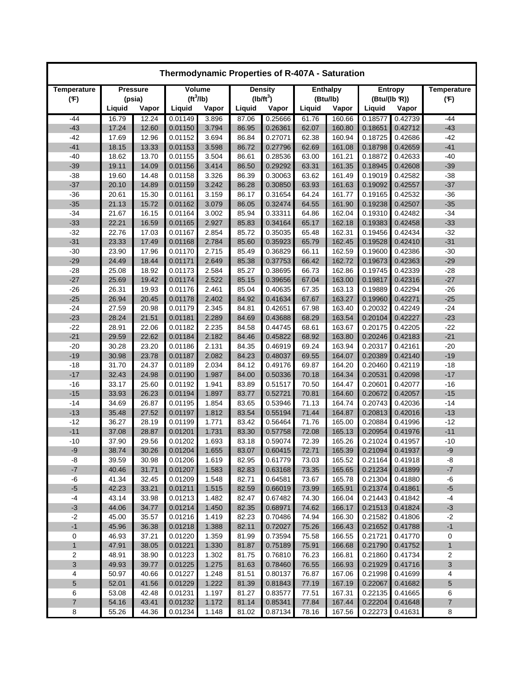| Thermodynamic Properties of R-407A - Saturation |                |                 |                       |                |                |                    |                |                  |                    |                    |                    |  |
|-------------------------------------------------|----------------|-----------------|-----------------------|----------------|----------------|--------------------|----------------|------------------|--------------------|--------------------|--------------------|--|
| Temperature                                     |                | <b>Pressure</b> |                       | Volume         |                | <b>Density</b>     |                | <b>Enthalpy</b>  |                    | <b>Entropy</b>     | <b>Temperature</b> |  |
| (F)                                             |                | (psia)          | (tf <sup>3</sup> /lb) |                |                | $(lb/ft^3)$        |                | (Btu/lb)         | (Btu/(lb R))       |                    | (F)                |  |
|                                                 | Liquid         | Vapor           | Liguid                | Vapor          | Liquid         | Vapor              | Liquid         | Vapor            | Liquid             | Vapor              |                    |  |
| -44                                             | 16.79          | 12.24           | 0.01149               | 3.896          | 87.06          | 0.25666            | 61.76          | 160.66           | 0.18577            | 0.42739            | -44                |  |
| $-43$                                           | 17.24          | 12.60           | 0.01150               | 3.794          | 86.95          | 0.26361            | 62.07          | 160.80           | 0.18651            | 0.42712            | $-43$              |  |
| $-42$                                           | 17.69          | 12.96           | 0.01152               | 3.694          | 86.84          | 0.27071            | 62.38          | 160.94           | 0.18725            | 0.42686            | $-42$              |  |
| $-41$                                           | 18.15          | 13.33           | 0.01153               | 3.598          | 86.72          | 0.27796            | 62.69          | 161.08           | 0.18798            | 0.42659            | $-41$              |  |
| $-40$                                           | 18.62          | 13.70           | 0.01155               | 3.504          | 86.61          | 0.28536            | 63.00          | 161.21           | 0.18872            | 0.42633            | $-40$              |  |
| $-39$                                           | 19.11          | 14.09           | 0.01156               | 3.414          | 86.50          | 0.29292            | 63.31          | 161.35           | 0.18945            | 0.42608            | $-39$              |  |
| $-38$                                           | 19.60          | 14.48           | 0.01158               | 3.326          | 86.39          | 0.30063            | 63.62          | 161.49           | 0.19019            | 0.42582            | $-38$              |  |
| $-37$                                           | 20.10          | 14.89           | 0.01159               | 3.242          | 86.28          | 0.30850            | 63.93          | 161.63           | 0.19092            | 0.42557            | $-37$              |  |
| $-36$                                           | 20.61          | 15.30           | 0.01161               | 3.159          | 86.17          | 0.31654            | 64.24          | 161.77           | 0.19165            | 0.42532            | $-36$              |  |
| $-35$                                           | 21.13          | 15.72           | 0.01162               | 3.079          | 86.05          | 0.32474            | 64.55          | 161.90           | 0.19238            | 0.42507            | $-35$              |  |
| $-34$                                           | 21.67          | 16.15           | 0.01164               | 3.002          | 85.94          | 0.33311            | 64.86          | 162.04           | 0.19310            | 0.42482            | $-34$              |  |
| $-33$                                           | 22.21          | 16.59           | 0.01165               | 2.927          | 85.83          | 0.34164            | 65.17          | 162.18           | 0.19383            | 0.42458            | $-33$              |  |
| $-32$                                           | 22.76          | 17.03           | 0.01167               | 2.854          | 85.72          | 0.35035            | 65.48          | 162.31           | 0.19456            | 0.42434            | $-32$              |  |
| $-31$                                           | 23.33          | 17.49           | 0.01168               | 2.784          | 85.60          | 0.35923            | 65.79          | 162.45           | 0.19528            | 0.42410            | $-31$              |  |
| $-30$                                           | 23.90          | 17.96           | 0.01170               | 2.715          | 85.49          | 0.36829            | 66.11          | 162.59           | 0.19600            | 0.42386            | $-30$              |  |
| $-29$                                           | 24.49          | 18.44           | 0.01171               | 2.649          | 85.38          | 0.37753            | 66.42          | 162.72           | 0.19673            | 0.42363            | $-29$              |  |
| $-28$                                           | 25.08          | 18.92           | 0.01173               | 2.584          | 85.27          | 0.38695            | 66.73          | 162.86           | 0.19745            | 0.42339            | -28                |  |
| $-27$                                           | 25.69          | 19.42           | 0.01174               | 2.522          | 85.15          | 0.39656            | 67.04          | 163.00           | 0.19817            | 0.42316            | $-27$              |  |
| $-26$                                           | 26.31          | 19.93           | 0.01176               | 2.461          | 85.04          | 0.40635            | 67.35          | 163.13           | 0.19889            | 0.42294            | $-26$              |  |
| $-25$                                           | 26.94          | 20.45           | 0.01178               | 2.402          | 84.92          | 0.41634            | 67.67          | 163.27           | 0.19960            | 0.42271            | $-25$              |  |
| $-24$                                           | 27.59          | 20.98           | 0.01179               | 2.345          | 84.81          | 0.42651            | 67.98          | 163.40           | 0.20032            | 0.42249            | $-24$              |  |
| $-23$                                           | 28.24          | 21.51           | 0.01181               | 2.289          | 84.69          | 0.43688            | 68.29          | 163.54           | 0.20104            | 0.42227            | $-23$              |  |
| $-22$                                           | 28.91          | 22.06           | 0.01182               | 2.235          | 84.58          | 0.44745            | 68.61          | 163.67           | 0.20175            | 0.42205            | $-22$              |  |
| $-21$                                           | 29.59          | 22.62           | 0.01184               | 2.182          | 84.46          | 0.45822            | 68.92          | 163.80           | 0.20246            | 0.42183            | $-21$              |  |
| $-20$                                           | 30.28          | 23.20           | 0.01186               | 2.131          | 84.35          | 0.46919            | 69.24          | 163.94           | 0.20317            | 0.42161            | $-20$              |  |
| $-19$                                           | 30.98          | 23.78           | 0.01187               | 2.082          | 84.23          | 0.48037            | 69.55          | 164.07           | 0.20389            | 0.42140            | $-19$              |  |
| $-18$                                           | 31.70          | 24.37           | 0.01189               | 2.034          | 84.12          | 0.49176            | 69.87          | 164.20           | 0.20460            | 0.42119            | $-18$              |  |
| $-17$                                           | 32.43          | 24.98           | 0.01190               | 1.987          | 84.00          | 0.50336            | 70.18          | 164.34           | 0.20531            | 0.42098            | $-17$              |  |
| $-16$                                           | 33.17          | 25.60           | 0.01192               | 1.941          | 83.89          | 0.51517            | 70.50          | 164.47           | 0.20601            | 0.42077            | $-16$              |  |
| $-15$                                           | 33.93          | 26.23           | 0.01194               | 1.897          | 83.77          | 0.52721            | 70.81          | 164.60           | 0.20672            | 0.42057            | $-15$              |  |
| $-14$                                           | 34.69          | 26.87           | 0.01195               | 1.854          | 83.65          | 0.53946            | 71.13          | 164.74           | 0.20743            | 0.42036            | $-14$              |  |
| $-13$                                           | 35.48          | 27.52           | 0.01197               | 1.812          | 83.54          | 0.55194            | 71.44          | 164.87           | 0.20813            | 0.42016            | $-13$              |  |
| $-12$                                           | 36.27          | 28.19           | 0.01199               | 1.771          | 83.42          | 0.56464            | 71.76          | 165.00           | 0.20884            | 0.41996            | $-12$              |  |
| $-11$                                           | 37.08          | 28.87           | 0.01201               | 1.731          | 83.30          | 0.57758            | 72.08          | 165.13           | 0.20954            | 0.41976            | $-11$              |  |
| $-10$                                           | 37.90          | 29.56           | 0.01202               | 1.693          | 83.18          | 0.59074            | 72.39          | 165.26           | 0.21024            | 0.41957            | $-10$              |  |
| -9                                              | 38.74          | 30.26           | 0.01204               | 1.655          | 83.07          | 0.60415            | 72.71          | 165.39           | 0.21094            | 0.41937            | -9                 |  |
| -8                                              | 39.59          | 30.98           | 0.01206               | 1.619          | 82.95          | 0.61779<br>0.63168 | 73.03          | 165.52           | 0.21164            | 0.41918            | -8                 |  |
| $-7$                                            | 40.46          | 31.71           | 0.01207               | 1.583          | 82.83          |                    | 73.35          | 165.65           | 0.21234            | 0.41899<br>0.41880 | $-7$               |  |
| -6<br>$-5$                                      | 41.34          | 32.45           | 0.01209               | 1.548          | 82.71          | 0.64581            | 73.67          | 165.78           | 0.21304            |                    | -6                 |  |
| $-4$                                            | 42.23<br>43.14 | 33.21<br>33.98  | 0.01211<br>0.01213    | 1.515<br>1.482 | 82.59<br>82.47 | 0.66019<br>0.67482 | 73.99<br>74.30 | 165.91<br>166.04 | 0.21374<br>0.21443 | 0.41861<br>0.41842 | $-5$<br>-4         |  |
| $-3$                                            | 44.06          | 34.77           |                       | 1.450          |                | 0.68971            | 74.62          | 166.17           | 0.21513            | 0.41824            | $-3$               |  |
| $-2$                                            | 45.00          | 35.57           | 0.01214<br>0.01216    | 1.419          | 82.35<br>82.23 | 0.70486            | 74.94          | 166.30           | 0.21582            | 0.41806            | $-2$               |  |
| $-1$                                            | 45.96          | 36.38           | 0.01218               | 1.388          | 82.11          | 0.72027            | 75.26          | 166.43           | 0.21652            | 0.41788            | $-1$               |  |
| 0                                               | 46.93          | 37.21           | 0.01220               | 1.359          | 81.99          | 0.73594            | 75.58          | 166.55           | 0.21721            | 0.41770            | 0                  |  |
| $\mathbf{1}$                                    | 47.91          | 38.05           | 0.01221               | 1.330          | 81.87          | 0.75189            | 75.91          | 166.68           | 0.21790            | 0.41752            | $\mathbf{1}$       |  |
| $\overline{c}$                                  | 48.91          | 38.90           | 0.01223               | 1.302          | 81.75          | 0.76810            | 76.23          | 166.81           | 0.21860            | 0.41734            | 2                  |  |
| 3                                               | 49.93          | 39.77           | 0.01225               | 1.275          | 81.63          | 0.78460            | 76.55          | 166.93           | 0.21929            | 0.41716            | 3                  |  |
| 4                                               | 50.97          | 40.66           | 0.01227               | 1.248          | 81.51          | 0.80137            | 76.87          | 167.06           | 0.21998            | 0.41699            | 4                  |  |
| 5                                               | 52.01          | 41.56           | 0.01229               | 1.222          | 81.39          | 0.81843            | 77.19          | 167.19           | 0.22067            | 0.41682            | 5                  |  |
| 6                                               | 53.08          | 42.48           | 0.01231               | 1.197          | 81.27          | 0.83577            | 77.51          | 167.31           | 0.22135            | 0.41665            | 6                  |  |
| $\overline{7}$                                  | 54.16          | 43.41           | 0.01232               | 1.172          | 81.14          | 0.85341            | 77.84          | 167.44           | 0.22204            | 0.41648            | $\overline{7}$     |  |
| 8                                               | 55.26          | 44.36           | 0.01234               | 1.148          | 81.02          | 0.87134            | 78.16          | 167.56           | 0.22273            | 0.41631            | 8                  |  |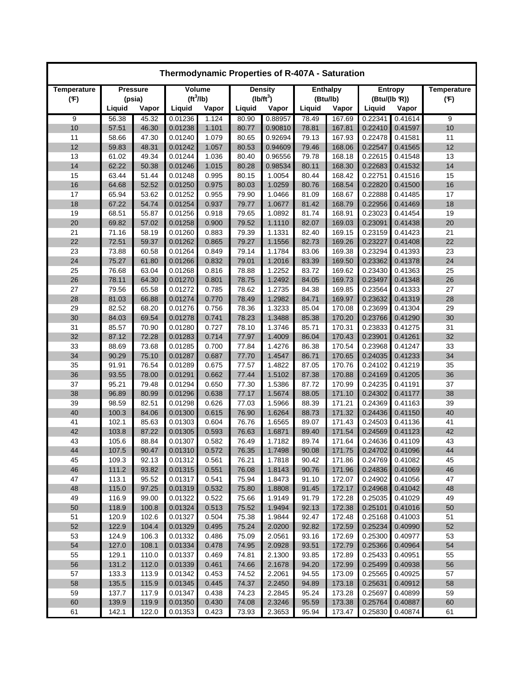| Thermodynamic Properties of R-407A - Saturation |        |                 |         |                          |        |                  |                |                  |                    |                |                    |  |
|-------------------------------------------------|--------|-----------------|---------|--------------------------|--------|------------------|----------------|------------------|--------------------|----------------|--------------------|--|
| Temperature                                     |        | <b>Pressure</b> |         | Volume<br><b>Density</b> |        |                  |                | <b>Enthalpy</b>  |                    | <b>Entropy</b> | <b>Temperature</b> |  |
| (F)                                             |        | (psia)          |         | (tf <sup>3</sup> /lb)    |        | $(lb/ft^3)$      |                | (Btu/lb)         | (Btu/(lb R))       |                | (F)                |  |
|                                                 | Liquid | Vapor           | Liquid  | Vapor                    | Liquid | Vapor            | Liquid         | Vapor            | Liquid             | Vapor          |                    |  |
| 9                                               | 56.38  | 45.32           | 0.01236 | 1.124                    | 80.90  | 0.88957          | 78.49          | 167.69           | 0.22341            | 0.41614        | 9                  |  |
| 10                                              | 57.51  | 46.30           | 0.01238 | 1.101                    | 80.77  | 0.90810          | 78.81          | 167.81           | 0.22410            | 0.41597        | 10                 |  |
| 11                                              | 58.66  | 47.30           | 0.01240 | 1.079                    | 80.65  | 0.92694          | 79.13          | 167.93           | 0.22478            | 0.41581        | 11                 |  |
| 12                                              | 59.83  | 48.31           | 0.01242 | 1.057                    | 80.53  | 0.94609          | 79.46          | 168.06           | 0.22547            | 0.41565        | 12                 |  |
| 13                                              | 61.02  | 49.34           | 0.01244 | 1.036                    | 80.40  | 0.96556          | 79.78          | 168.18           | 0.22615            | 0.41548        | 13                 |  |
| 14                                              | 62.22  | 50.38           | 0.01246 | 1.015                    | 80.28  | 0.98534          | 80.11          | 168.30           | 0.22683            | 0.41532        | 14                 |  |
| 15                                              | 63.44  | 51.44           | 0.01248 | 0.995                    | 80.15  | 1.0054           | 80.44          | 168.42           | 0.22751            | 0.41516        | 15                 |  |
| 16                                              | 64.68  | 52.52           | 0.01250 | 0.975                    | 80.03  | 1.0259           | 80.76          | 168.54           | 0.22820            | 0.41500        | 16                 |  |
| 17                                              | 65.94  | 53.62           | 0.01252 | 0.955                    | 79.90  | 1.0466           | 81.09          | 168.67           | 0.22888            | 0.41485        | 17                 |  |
| 18                                              | 67.22  | 54.74           | 0.01254 | 0.937                    | 79.77  | 1.0677           | 81.42          | 168.79           | 0.22956            | 0.41469        | 18                 |  |
| 19                                              | 68.51  | 55.87           | 0.01256 | 0.918                    | 79.65  | 1.0892           | 81.74          | 168.91           | 0.23023            | 0.41454        | 19                 |  |
| 20                                              | 69.82  | 57.02           | 0.01258 | 0.900                    | 79.52  | 1.1110           | 82.07          | 169.03           | 0.23091            | 0.41438        | 20                 |  |
| 21                                              | 71.16  | 58.19           | 0.01260 | 0.883                    | 79.39  | 1.1331           | 82.40          | 169.15           | 0.23159            | 0.41423        | 21                 |  |
| 22                                              | 72.51  | 59.37           | 0.01262 | 0.865                    | 79.27  | 1.1556           | 82.73          | 169.26           | 0.23227            | 0.41408        | 22                 |  |
| 23                                              | 73.88  | 60.58           | 0.01264 | 0.849                    | 79.14  | 1.1784           | 83.06          | 169.38           | 0.23294            | 0.41393        | 23                 |  |
| 24                                              | 75.27  | 61.80           | 0.01266 | 0.832                    | 79.01  | 1.2016           | 83.39          | 169.50           | 0.23362            | 0.41378        | 24                 |  |
| 25                                              | 76.68  | 63.04           | 0.01268 | 0.816                    | 78.88  | 1.2252           | 83.72          | 169.62           | 0.23430            | 0.41363        | 25                 |  |
| 26                                              | 78.11  | 64.30           | 0.01270 | 0.801                    | 78.75  | 1.2492           | 84.05          | 169.73           | 0.23497            | 0.41348        | 26                 |  |
| 27                                              | 79.56  | 65.58           | 0.01272 | 0.785                    | 78.62  | 1.2735           | 84.38          | 169.85           | 0.23564            | 0.41333        | 27                 |  |
| 28                                              | 81.03  | 66.88           | 0.01274 | 0.770                    | 78.49  | 1.2982           | 84.71          | 169.97           | 0.23632            | 0.41319        | 28                 |  |
| 29                                              | 82.52  | 68.20           | 0.01276 | 0.756                    | 78.36  | 1.3233           | 85.04          | 170.08           | 0.23699            | 0.41304        | 29                 |  |
| 30                                              | 84.03  | 69.54           | 0.01278 | 0.741                    | 78.23  | 1.3488           | 85.38          | 170.20           | 0.23766            | 0.41290        | 30                 |  |
| 31                                              | 85.57  | 70.90           | 0.01280 | 0.727                    | 78.10  | 1.3746           | 85.71          | 170.31           | 0.23833            | 0.41275        | 31                 |  |
| 32                                              | 87.12  | 72.28           | 0.01283 | 0.714                    | 77.97  | 1.4009           | 86.04          | 170.43           | 0.23901            | 0.41261        | 32                 |  |
| 33                                              | 88.69  | 73.68           | 0.01285 | 0.700                    | 77.84  | 1.4276           | 86.38          | 170.54           | 0.23968            | 0.41247        | 33                 |  |
| 34                                              | 90.29  | 75.10           | 0.01287 | 0.687                    | 77.70  | 1.4547           | 86.71          | 170.65           | 0.24035            | 0.41233        | 34                 |  |
| 35                                              | 91.91  | 76.54           | 0.01289 | 0.675                    | 77.57  | 1.4822           | 87.05          | 170.76           | 0.24102            | 0.41219        | 35                 |  |
| 36                                              | 93.55  | 78.00           | 0.01291 | 0.662                    | 77.44  | 1.5102           | 87.38          | 170.88           | 0.24169            | 0.41205        | 36                 |  |
| 37                                              | 95.21  | 79.48           | 0.01294 | 0.650                    | 77.30  | 1.5386           | 87.72          | 170.99           | 0.24235            | 0.41191        | 37                 |  |
| 38                                              | 96.89  | 80.99           | 0.01296 | 0.638                    | 77.17  | 1.5674           | 88.05          | 171.10           | 0.24302            | 0.41177        | 38                 |  |
| 39                                              | 98.59  | 82.51           | 0.01298 | 0.626                    | 77.03  | 1.5966           | 88.39          | 171.21           | 0.24369            | 0.41163        | 39                 |  |
| 40                                              | 100.3  | 84.06           | 0.01300 | 0.615                    | 76.90  | 1.6264           | 88.73          | 171.32           | 0.24436            | 0.41150        | 40                 |  |
| 41                                              | 102.1  | 85.63           | 0.01303 | 0.604                    | 76.76  | 1.6565           | 89.07          | 171.43           | 0.24503            | 0.41136        | 41                 |  |
| 42                                              | 103.8  | 87.22           | 0.01305 | 0.593                    | 76.63  | 1.6871           | 89.40          | 171.54           | 0.24569            | 0.41123        | 42                 |  |
| 43                                              | 105.6  | 88.84           | 0.01307 | 0.582                    | 76.49  | 1.7182           | 89.74          | 171.64           | 0.24636            | 0.41109        | 43                 |  |
| 44                                              | 107.5  | 90.47           | 0.01310 | 0.572                    | 76.35  | 1.7498           | 90.08          | 171.75           | 0.24702            | 0.41096        | 44                 |  |
| 45                                              | 109.3  | 92.13           | 0.01312 | 0.561                    | 76.21  | 1.7818           | 90.42          | 171.86           | 0.24769            | 0.41082        | 45                 |  |
| 46                                              | 111.2  | 93.82           | 0.01315 | 0.551                    | 76.08  | 1.8143           | 90.76          | 171.96           | 0.24836            | 0.41069        | 46                 |  |
| 47                                              | 113.1  | 95.52           | 0.01317 | 0.541                    | 75.94  | 1.8473           | 91.10          | 172.07           | 0.24902            | 0.41056        | 47                 |  |
| 48                                              | 115.0  | 97.25           | 0.01319 | 0.532                    | 75.80  | 1.8808           | 91.45          | 172.17           | 0.24968            | 0.41042        | 48                 |  |
| 49                                              | 116.9  | 99.00           | 0.01322 | 0.522                    | 75.66  | 1.9149           | 91.79          | 172.28           | 0.25035            | 0.41029        | 49                 |  |
| 50                                              | 118.9  | 100.8           | 0.01324 | 0.513                    | 75.52  | 1.9494           | 92.13          | 172.38           | 0.25101            | 0.41016        | 50                 |  |
| 51                                              | 120.9  | 102.6           | 0.01327 | 0.504                    | 75.38  | 1.9844           | 92.47          | 172.48           | 0.25168            | 0.41003        | 51                 |  |
| 52                                              | 122.9  | 104.4           | 0.01329 | 0.495                    | 75.24  | 2.0200           | 92.82          | 172.59           | 0.25234            | 0.40990        | 52                 |  |
| 53                                              | 124.9  | 106.3           | 0.01332 | 0.486                    | 75.09  | 2.0561           | 93.16          | 172.69           | 0.25300            | 0.40977        | 53<br>54           |  |
| 54                                              | 127.0  | 108.1           | 0.01334 | 0.478                    | 74.95  | 2.0928<br>2.1300 | 93.51          | 172.79           | 0.25366<br>0.25433 | 0.40964        |                    |  |
| 55                                              | 129.1  | 110.0           | 0.01337 | 0.469                    | 74.81  |                  | 93.85          | 172.89           |                    | 0.40951        | 55                 |  |
| 56                                              | 131.2  | 112.0           | 0.01339 | 0.461                    | 74.66  | 2.1678           | 94.20          | 172.99           | 0.25499            | 0.40938        | 56                 |  |
| 57                                              | 133.3  | 113.9           | 0.01342 | 0.453                    | 74.52  | 2.2061           | 94.55          | 173.09           | 0.25565            | 0.40925        | 57                 |  |
| 58                                              | 135.5  | 115.9           | 0.01345 | 0.445                    | 74.37  | 2.2450           | 94.89          | 173.18           | 0.25631            | 0.40912        | 58                 |  |
| 59                                              | 137.7  | 117.9           | 0.01347 | 0.438                    | 74.23  | 2.2845           | 95.24          | 173.28           | 0.25697            | 0.40899        | 59                 |  |
| 60<br>61                                        | 139.9  | 119.9           | 0.01350 | 0.430                    | 74.08  | 2.3246           | 95.59<br>95.94 | 173.38<br>173.47 | 0.25764            | 0.40887        | 60<br>61           |  |
|                                                 | 142.1  | 122.0           | 0.01353 | 0.423                    | 73.93  | 2.3653           |                |                  | 0.25830            | 0.40874        |                    |  |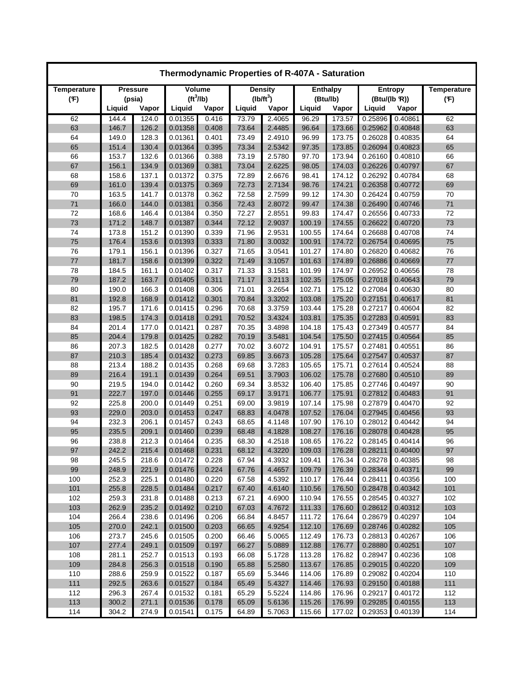| Thermodynamic Properties of R-407A - Saturation |                |                 |                       |                |                |                  |                  |                  |                    |                    |                    |  |
|-------------------------------------------------|----------------|-----------------|-----------------------|----------------|----------------|------------------|------------------|------------------|--------------------|--------------------|--------------------|--|
| Temperature                                     |                | <b>Pressure</b> |                       | Volume         |                | <b>Density</b>   |                  | <b>Enthalpy</b>  |                    | <b>Entropy</b>     | <b>Temperature</b> |  |
| (F)                                             |                | (psia)          | (tf <sup>3</sup> /lb) |                |                | $(lb/ft^3)$      |                  | (Btu/lb)         | (Btu/(lb R))       |                    | (F)                |  |
|                                                 | Liquid         | Vapor           | Liquid                | Vapor          | Liquid         | Vapor            | Liquid           | Vapor            | Liquid             | Vapor              |                    |  |
| 62                                              | 144.4          | 124.0           | 0.01355               | 0.416          | 73.79          | 2.4065           | 96.29            | 173.57           | 0.25896            | 0.40861            | 62                 |  |
| 63                                              | 146.7          | 126.2           | 0.01358               | 0.408          | 73.64          | 2.4485           | 96.64            | 173.66           | 0.25962            | 0.40848            | 63                 |  |
| 64                                              | 149.0          | 128.3           | 0.01361               | 0.401          | 73.49          | 2.4910           | 96.99            | 173.75           | 0.26028            | 0.40835            | 64                 |  |
| 65                                              | 151.4          | 130.4           | 0.01364               | 0.395          | 73.34          | 2.5342           | 97.35            | 173.85           | 0.26094            | 0.40823            | 65                 |  |
| 66                                              | 153.7          | 132.6           | 0.01366               | 0.388          | 73.19          | 2.5780           | 97.70            | 173.94           | 0.26160            | 0.40810            | 66                 |  |
| 67                                              | 156.1          | 134.9           | 0.01369               | 0.381          | 73.04          | 2.6225           | 98.05            | 174.03           | 0.26226            | 0.40797            | 67                 |  |
| 68                                              | 158.6          | 137.1           | 0.01372               | 0.375          | 72.89          | 2.6676           | 98.41            | 174.12           | 0.26292            | 0.40784            | 68                 |  |
| 69                                              | 161.0          | 139.4           | 0.01375               | 0.369          | 72.73          | 2.7134           | 98.76            | 174.21           | 0.26358            | 0.40772            | 69<br>70           |  |
| 70<br>71                                        | 163.5<br>166.0 | 141.7<br>144.0  | 0.01378<br>0.01381    | 0.362<br>0.356 | 72.58<br>72.43 | 2.7599<br>2.8072 | 99.12<br>99.47   | 174.30<br>174.38 | 0.26424<br>0.26490 | 0.40759<br>0.40746 | 71                 |  |
| 72                                              | 168.6          | 146.4           | 0.01384               | 0.350          | 72.27          | 2.8551           | 99.83            | 174.47           | 0.26556            | 0.40733            | 72                 |  |
| 73                                              | 171.2          | 148.7           | 0.01387               | 0.344          | 72.12          | 2.9037           | 100.19           | 174.55           | 0.26622            | 0.40720            | 73                 |  |
| 74                                              | 173.8          | 151.2           | 0.01390               | 0.339          | 71.96          | 2.9531           | 100.55           | 174.64           | 0.26688            | 0.40708            | 74                 |  |
| 75                                              | 176.4          | 153.6           | 0.01393               | 0.333          | 71.80          | 3.0032           | 100.91           | 174.72           | 0.26754            | 0.40695            | 75                 |  |
| 76                                              | 179.1          | 156.1           | 0.01396               | 0.327          | 71.65          | 3.0541           | 101.27           | 174.80           | 0.26820            | 0.40682            | 76                 |  |
| 77                                              | 181.7          | 158.6           | 0.01399               | 0.322          | 71.49          | 3.1057           | 101.63           | 174.89           | 0.26886            | 0.40669            | 77                 |  |
| 78                                              | 184.5          | 161.1           | 0.01402               | 0.317          | 71.33          | 3.1581           | 101.99           | 174.97           | 0.26952            | 0.40656            | 78                 |  |
| 79                                              | 187.2          | 163.7           | 0.01405               | 0.311          | 71.17          | 3.2113           | 102.35           | 175.05           | 0.27018            | 0.40643            | 79                 |  |
| 80                                              | 190.0          | 166.3           | 0.01408               | 0.306          | 71.01          | 3.2654           | 102.71           | 175.12           | 0.27084            | 0.40630            | 80                 |  |
| 81                                              | 192.8          | 168.9           | 0.01412               | 0.301          | 70.84          | 3.3202           | 103.08           | 175.20           | 0.27151            | 0.40617            | 81                 |  |
| 82                                              | 195.7          | 171.6           | 0.01415               | 0.296          | 70.68          | 3.3759           | 103.44           | 175.28           | 0.27217            | 0.40604            | 82                 |  |
| 83                                              | 198.5          | 174.3           | 0.01418               | 0.291          | 70.52          | 3.4324           | 103.81           | 175.35           | 0.27283            | 0.40591            | 83                 |  |
| 84                                              | 201.4          | 177.0           | 0.01421               | 0.287          | 70.35          | 3.4898           | 104.18           | 175.43           | 0.27349            | 0.40577            | 84                 |  |
| 85                                              | 204.4          | 179.8           | 0.01425               | 0.282          | 70.19          | 3.5481           | 104.54           | 175.50           | 0.27415            | 0.40564            | 85                 |  |
| 86                                              | 207.3          | 182.5           | 0.01428               | 0.277          | 70.02          | 3.6072           | 104.91           | 175.57           | 0.27481            | 0.40551            | 86                 |  |
| 87                                              | 210.3          | 185.4           | 0.01432               | 0.273          | 69.85          | 3.6673           | 105.28           | 175.64           | 0.27547            | 0.40537            | 87                 |  |
| 88                                              | 213.4          | 188.2           | 0.01435               | 0.268          | 69.68          | 3.7283           | 105.65           | 175.71           | 0.27614            | 0.40524            | 88                 |  |
| 89                                              | 216.4          | 191.1           | 0.01439               | 0.264          | 69.51          | 3.7903           | 106.02           | 175.78           | 0.27680            | 0.40510            | 89                 |  |
| 90                                              | 219.5          | 194.0           | 0.01442               | 0.260          | 69.34          | 3.8532           | 106.40           | 175.85           | 0.27746            | 0.40497            | 90                 |  |
| 91                                              | 222.7          | 197.0           | 0.01446               | 0.255          | 69.17          | 3.9171           | 106.77           | 175.91           | 0.27812            | 0.40483            | 91                 |  |
| 92                                              | 225.8          | 200.0           | 0.01449               | 0.251          | 69.00          | 3.9819           | 107.14           | 175.98           | 0.27879            | 0.40470            | 92                 |  |
| 93                                              | 229.0          | 203.0           | 0.01453               | 0.247          | 68.83          | 4.0478           | 107.52           | 176.04           | 0.27945            | 0.40456            | 93                 |  |
| 94                                              | 232.3          | 206.1           | 0.01457               | 0.243          | 68.65          | 4.1148           | 107.90           | 176.10           | 0.28012            | 0.40442            | 94                 |  |
| 95                                              | 235.5          | 209.1           | 0.01460               | 0.239          | 68.48          | 4.1828           | 108.27           | 176.16           | 0.28078            | 0.40428            | 95                 |  |
| 96                                              | 238.8          | 212.3           | 0.01464               | 0.235          | 68.30          | 4.2518           | 108.65           | 176.22           | 0.28145            | 0.40414            | 96                 |  |
| 97                                              | 242.2          | 215.4           | 0.01468               | 0.231          | 68.12          | 4.3220           | 109.03           | 176.28           | 0.28211            | 0.40400            | 97                 |  |
| 98                                              | 245.5          | 218.6           | 0.01472               | 0.228          | 67.94          | 4.3932           | 109.41           | 176.34           | 0.28278            | 0.40385            | 98                 |  |
| 99                                              | 248.9          | 221.9           | 0.01476               | 0.224          | 67.76          | 4.4657           | 109.79           | 176.39           | 0.28344            | 0.40371            | 99                 |  |
| 100                                             | 252.3          | 225.1           | 0.01480               | 0.220          | 67.58          | 4.5392           | 110.17           | 176.44           | 0.28411            | 0.40356            | 100                |  |
| 101                                             | 255.8          | 228.5           | 0.01484               | 0.217          | 67.40          | 4.6140           | 110.56           | 176.50           | 0.28478            | 0.40342            | 101                |  |
| 102                                             | 259.3          | 231.8           | 0.01488               | 0.213          | 67.21          | 4.6900           | 110.94           | 176.55<br>176.60 | 0.28545<br>0.28612 | 0.40327            | 102                |  |
| 103                                             | 262.9          | 235.2           | 0.01492               | 0.210          | 67.03          | 4.7672           | 111.33           |                  |                    | 0.40312            | 103                |  |
| 104<br>105                                      | 266.4<br>270.0 | 238.6<br>242.1  | 0.01496               | 0.206<br>0.203 | 66.84          | 4.8457<br>4.9254 | 111.72<br>112.10 | 176.64<br>176.69 | 0.28679<br>0.28746 | 0.40297            | 104<br>105         |  |
| 106                                             | 273.7          | 245.6           | 0.01500<br>0.01505    | 0.200          | 66.65<br>66.46 | 5.0065           | 112.49           | 176.73           | 0.28813            | 0.40282<br>0.40267 | 106                |  |
| 107                                             | 277.4          | 249.1           | 0.01509               | 0.197          | 66.27          | 5.0889           | 112.88           | 176.77           | 0.28880            | 0.40251            | 107                |  |
| 108                                             | 281.1          | 252.7           | 0.01513               | 0.193          | 66.08          | 5.1728           | 113.28           | 176.82           | 0.28947            | 0.40236            | 108                |  |
| 109                                             | 284.8          | 256.3           | 0.01518               | 0.190          | 65.88          | 5.2580           | 113.67           | 176.85           | 0.29015            | 0.40220            | 109                |  |
| 110                                             | 288.6          | 259.9           | 0.01522               | 0.187          | 65.69          | 5.3446           | 114.06           | 176.89           | 0.29082            | 0.40204            | 110                |  |
| 111                                             | 292.5          | 263.6           | 0.01527               | 0.184          | 65.49          | 5.4327           | 114.46           | 176.93           | 0.29150            | 0.40188            | 111                |  |
| 112                                             | 296.3          | 267.4           | 0.01532               | 0.181          | 65.29          | 5.5224           | 114.86           | 176.96           | 0.29217            | 0.40172            | 112                |  |
| 113                                             | 300.2          | 271.1           | 0.01536               | 0.178          | 65.09          | 5.6136           | 115.26           | 176.99           | 0.29285            | 0.40155            | 113                |  |
| 114                                             | 304.2          | 274.9           | 0.01541               | 0.175          | 64.89          | 5.7063           | 115.66           | 177.02           | 0.29353            | 0.40139            | 114                |  |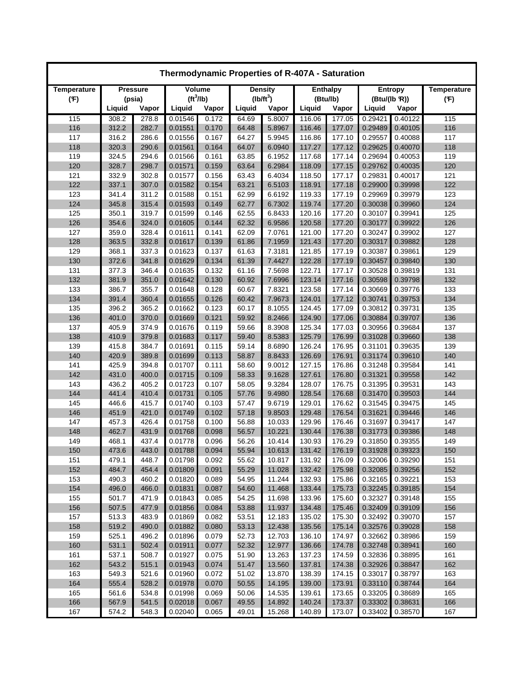| Thermodynamic Properties of R-407A - Saturation |        |                 |                       |               |        |                |        |                 |              |         |                    |  |
|-------------------------------------------------|--------|-----------------|-----------------------|---------------|--------|----------------|--------|-----------------|--------------|---------|--------------------|--|
| <b>Temperature</b>                              |        | <b>Pressure</b> |                       | <b>Volume</b> |        | <b>Density</b> |        | <b>Enthalpy</b> |              | Entropy | <b>Temperature</b> |  |
| (F)                                             |        | (psia)          | (tf <sup>3</sup> /lb) |               |        | $(lb/ft^3)$    |        | (Btu/lb)        | (Btu/(lb R)) |         | (F)                |  |
|                                                 | Liquid | Vapor           | Liquid                | Vapor         | Liquid | Vapor          | Liquid | Vapor           | Liquid       | Vapor   |                    |  |
| 115                                             | 308.2  | 278.8           | 0.01546               | 0.172         | 64.69  | 5.8007         | 116.06 | 177.05          | 0.29421      | 0.40122 | 115                |  |
| 116                                             | 312.2  | 282.7           | 0.01551               | 0.170         | 64.48  | 5.8967         | 116.46 | 177.07          | 0.29489      | 0.40105 | 116                |  |
| 117                                             | 316.2  | 286.6           | 0.01556               | 0.167         | 64.27  | 5.9945         | 116.86 | 177.10          | 0.29557      | 0.40088 | 117                |  |
| 118                                             | 320.3  | 290.6           | 0.01561               | 0.164         | 64.07  | 6.0940         | 117.27 | 177.12          | 0.29625      | 0.40070 | 118                |  |
| 119                                             | 324.5  | 294.6           | 0.01566               | 0.161         | 63.85  | 6.1952         | 117.68 | 177.14          | 0.29694      | 0.40053 | 119                |  |
| 120                                             | 328.7  | 298.7           | 0.01571               | 0.159         | 63.64  | 6.2984         | 118.09 | 177.15          | 0.29762      | 0.40035 | 120                |  |
| 121                                             | 332.9  | 302.8           | 0.01577               | 0.156         | 63.43  | 6.4034         | 118.50 | 177.17          | 0.29831      | 0.40017 | 121                |  |
| 122                                             | 337.1  | 307.0           | 0.01582               | 0.154         | 63.21  | 6.5103         | 118.91 | 177.18          | 0.29900      | 0.39998 | 122                |  |
| 123                                             | 341.4  | 311.2           | 0.01588               | 0.151         | 62.99  | 6.6192         | 119.33 | 177.19          | 0.29969      | 0.39979 | 123                |  |
| 124                                             | 345.8  | 315.4           | 0.01593               | 0.149         | 62.77  | 6.7302         | 119.74 | 177.20          | 0.30038      | 0.39960 | 124                |  |
| 125                                             | 350.1  | 319.7           | 0.01599               | 0.146         | 62.55  | 6.8433         | 120.16 | 177.20          | 0.30107      | 0.39941 | 125                |  |
| 126                                             | 354.6  | 324.0           | 0.01605               | 0.144         | 62.32  | 6.9586         | 120.58 | 177.20          | 0.30177      | 0.39922 | 126                |  |
| 127                                             | 359.0  | 328.4           | 0.01611               | 0.141         | 62.09  | 7.0761         | 121.00 | 177.20          | 0.30247      | 0.39902 | 127                |  |
| 128                                             | 363.5  | 332.8           | 0.01617               | 0.139         | 61.86  | 7.1959         | 121.43 | 177.20          | 0.30317      | 0.39882 | 128                |  |
| 129                                             | 368.1  | 337.3           | 0.01623               | 0.137         | 61.63  | 7.3181         | 121.85 | 177.19          | 0.30387      | 0.39861 | 129                |  |
| 130                                             | 372.6  | 341.8           | 0.01629               | 0.134         | 61.39  | 7.4427         | 122.28 | 177.19          | 0.30457      | 0.39840 | 130                |  |
| 131                                             | 377.3  | 346.4           | 0.01635               | 0.132         | 61.16  | 7.5698         | 122.71 | 177.17          | 0.30528      | 0.39819 | 131                |  |
| 132                                             | 381.9  | 351.0           | 0.01642               | 0.130         | 60.92  | 7.6996         | 123.14 | 177.16          | 0.30598      | 0.39798 | 132                |  |
| 133                                             | 386.7  | 355.7           | 0.01648               | 0.128         | 60.67  | 7.8321         | 123.58 | 177.14          | 0.30669      | 0.39776 | 133                |  |
| 134                                             | 391.4  | 360.4           | 0.01655               | 0.126         | 60.42  | 7.9673         | 124.01 | 177.12          | 0.30741      | 0.39753 | 134                |  |
| 135                                             | 396.2  | 365.2           | 0.01662               | 0.123         | 60.17  | 8.1055         | 124.45 | 177.09          | 0.30812      | 0.39731 | 135                |  |
| 136                                             | 401.0  | 370.0           | 0.01669               | 0.121         | 59.92  | 8.2466         | 124.90 | 177.06          | 0.30884      | 0.39707 | 136                |  |
| 137                                             | 405.9  | 374.9           | 0.01676               | 0.119         | 59.66  | 8.3908         | 125.34 | 177.03          | 0.30956      | 0.39684 | 137                |  |
| 138                                             | 410.9  | 379.8           | 0.01683               | 0.117         | 59.40  | 8.5383         | 125.79 | 176.99          | 0.31028      | 0.39660 | 138                |  |
| 139                                             | 415.8  | 384.7           | 0.01691               | 0.115         | 59.14  | 8.6890         | 126.24 | 176.95          | 0.31101      | 0.39635 | 139                |  |
| 140                                             | 420.9  | 389.8           | 0.01699               | 0.113         | 58.87  | 8.8433         | 126.69 | 176.91          | 0.31174      | 0.39610 | 140                |  |
| 141                                             | 425.9  | 394.8           | 0.01707               | 0.111         | 58.60  | 9.0012         | 127.15 | 176.86          | 0.31248      | 0.39584 | 141                |  |
| 142                                             | 431.0  | 400.0           | 0.01715               | 0.109         | 58.33  | 9.1628         | 127.61 | 176.80          | 0.31321      | 0.39558 | 142                |  |
| 143                                             | 436.2  | 405.2           | 0.01723               | 0.107         | 58.05  | 9.3284         | 128.07 | 176.75          | 0.31395      | 0.39531 | 143                |  |
| 144                                             | 441.4  | 410.4           | 0.01731               | 0.105         | 57.76  | 9.4980         | 128.54 | 176.68          | 0.31470      | 0.39503 | 144                |  |
| 145                                             | 446.6  | 415.7           | 0.01740               | 0.103         | 57.47  | 9.6719         | 129.01 | 176.62          | 0.31545      | 0.39475 | 145                |  |
| 146                                             | 451.9  | 421.0           | 0.01749               | 0.102         | 57.18  | 9.8503         | 129.48 | 176.54          | 0.31621      | 0.39446 | 146                |  |
| 147                                             | 457.3  | 426.4           | 0.01758               | 0.100         | 56.88  | 10.033         | 129.96 | 176.46          | 0.31697      | 0.39417 | 147                |  |
| 148                                             | 462.7  | 431.9           | 0.01768               | 0.098         | 56.57  | 10.221         | 130.44 | 176.38          | 0.31773      | 0.39386 | 148                |  |
| 149                                             | 468.1  | 437.4           | 0.01778               | 0.096         | 56.26  | 10.414         | 130.93 | 176.29          | 0.31850      | 0.39355 | 149                |  |
| 150                                             | 473.6  | 443.0           | 0.01788               | 0.094         | 55.94  | 10.613         | 131.42 | 176.19          | 0.31928      | 0.39323 | 150                |  |
| 151                                             | 479.1  | 448.7           | 0.01798               | 0.092         | 55.62  | 10.817         | 131.92 | 176.09          | 0.32006      | 0.39290 | 151                |  |
| 152                                             | 484.7  | 454.4           | 0.01809               | 0.091         | 55.29  | 11.028         | 132.42 | 175.98          | 0.32085      | 0.39256 | 152                |  |
| 153                                             | 490.3  | 460.2           | 0.01820               | 0.089         | 54.95  | 11.244         | 132.93 | 175.86          | 0.32165      | 0.39221 | 153                |  |
| 154                                             | 496.0  | 466.0           | 0.01831               | 0.087         | 54.60  | 11.468         | 133.44 | 175.73          | 0.32245      | 0.39185 | 154                |  |
| 155                                             | 501.7  | 471.9           | 0.01843               | 0.085         | 54.25  | 11.698         | 133.96 | 175.60          | 0.32327      | 0.39148 | 155                |  |
| 156                                             | 507.5  | 477.9           | 0.01856               | 0.084         | 53.88  | 11.937         | 134.48 | 175.46          | 0.32409      | 0.39109 | 156                |  |
| 157                                             | 513.3  | 483.9           | 0.01869               | 0.082         | 53.51  | 12.183         | 135.02 | 175.30          | 0.32492      | 0.39070 | 157                |  |
| 158                                             | 519.2  | 490.0           | 0.01882               | 0.080         | 53.13  | 12.438         | 135.56 | 175.14          | 0.32576      | 0.39028 | 158                |  |
| 159                                             | 525.1  | 496.2           | 0.01896               | 0.079         | 52.73  | 12.703         | 136.10 | 174.97          | 0.32662      | 0.38986 | 159                |  |
| 160                                             | 531.1  | 502.4           | 0.01911               | 0.077         | 52.32  | 12.977         | 136.66 | 174.78          | 0.32748      | 0.38941 | 160                |  |
| 161                                             | 537.1  | 508.7           | 0.01927               | 0.075         | 51.90  | 13.263         | 137.23 | 174.59          | 0.32836      | 0.38895 | 161                |  |
| 162                                             | 543.2  | 515.1           | 0.01943               | 0.074         | 51.47  | 13.560         | 137.81 | 174.38          | 0.32926      | 0.38847 | 162                |  |
| 163                                             | 549.3  | 521.6           | 0.01960               | 0.072         | 51.02  | 13.870         | 138.39 | 174.15          | 0.33017      | 0.38797 | 163                |  |
| 164                                             | 555.4  | 528.2           | 0.01978               | 0.070         | 50.55  | 14.195         | 139.00 | 173.91          | 0.33110      | 0.38744 | 164                |  |
| 165                                             | 561.6  | 534.8           | 0.01998               | 0.069         | 50.06  | 14.535         | 139.61 | 173.65          | 0.33205      | 0.38689 | 165                |  |
| 166                                             | 567.9  | 541.5           | 0.02018               | 0.067         | 49.55  | 14.892         | 140.24 | 173.37          | 0.33302      | 0.38631 | 166                |  |
| 167                                             | 574.2  | 548.3           | 0.02040               | 0.065         | 49.01  | 15.268         | 140.89 | 173.07          | 0.33402      | 0.38570 | 167                |  |